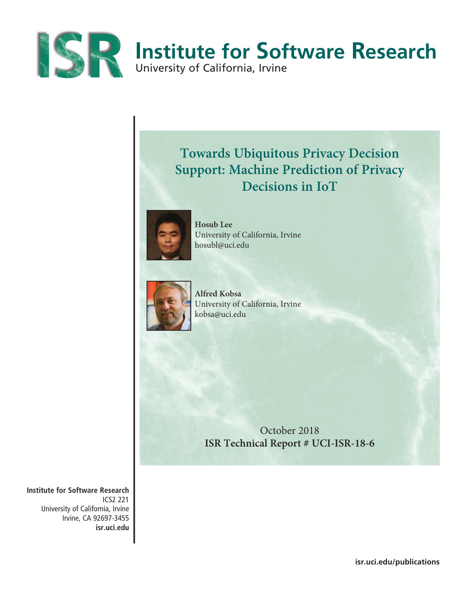

# **Towards Ubiquitous Privacy Decision Support: Machine Prediction of Privacy Decisions in IoT**



**Hosub Lee** University of California, Irvine hosubl@uci.edu



**Alfred Kobsa** University of California, Irvine kobsa@uci.edu

October 2018 **ISR Technical Report # UCI-ISR-18-6**

**Institute for Software Research** ICS2 221 University of California, Irvine Irvine, CA 92697-3455 **isr.uci.edu**

**isr.uci.edu/publications**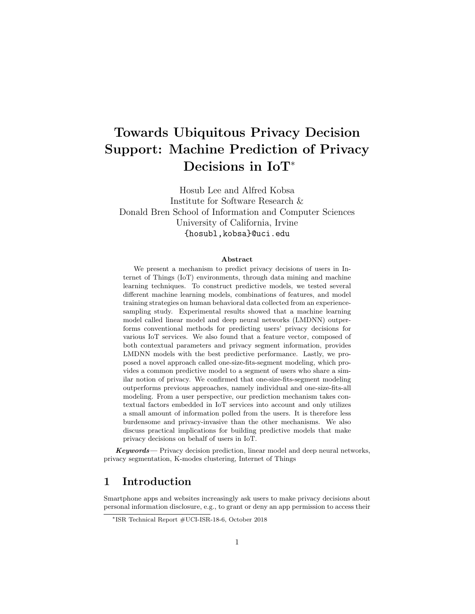# Towards Ubiquitous Privacy Decision Support: Machine Prediction of Privacy Decisions in IoT<sup>\*</sup>

Hosub Lee and Alfred Kobsa Institute for Software Research & Donald Bren School of Information and Computer Sciences University of California, Irvine {hosubl,kobsa}@uci.edu

#### Abstract

We present a mechanism to predict privacy decisions of users in Internet of Things (IoT) environments, through data mining and machine learning techniques. To construct predictive models, we tested several different machine learning models, combinations of features, and model training strategies on human behavioral data collected from an experiencesampling study. Experimental results showed that a machine learning model called linear model and deep neural networks (LMDNN) outperforms conventional methods for predicting users' privacy decisions for various IoT services. We also found that a feature vector, composed of both contextual parameters and privacy segment information, provides LMDNN models with the best predictive performance. Lastly, we proposed a novel approach called one-size-fits-segment modeling, which provides a common predictive model to a segment of users who share a similar notion of privacy. We confirmed that one-size-fits-segment modeling outperforms previous approaches, namely individual and one-size-fits-all modeling. From a user perspective, our prediction mechanism takes contextual factors embedded in IoT services into account and only utilizes a small amount of information polled from the users. It is therefore less burdensome and privacy-invasive than the other mechanisms. We also discuss practical implications for building predictive models that make privacy decisions on behalf of users in IoT.

Keywords— Privacy decision prediction, linear model and deep neural networks, privacy segmentation, K-modes clustering, Internet of Things

## 1 Introduction

Smartphone apps and websites increasingly ask users to make privacy decisions about personal information disclosure, e.g., to grant or deny an app permission to access their

<sup>∗</sup>ISR Technical Report #UCI-ISR-18-6, October 2018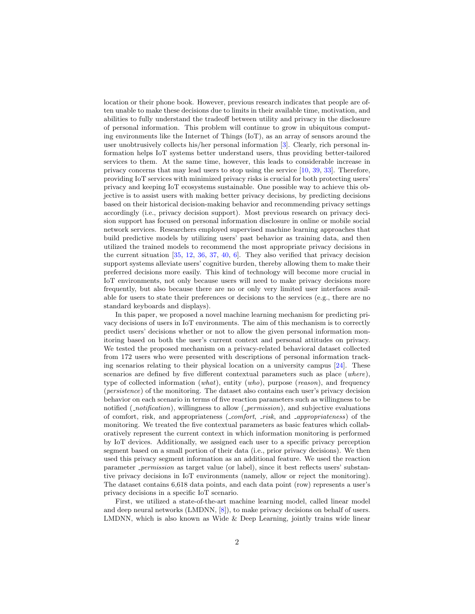location or their phone book. However, previous research indicates that people are often unable to make these decisions due to limits in their available time, motivation, and abilities to fully understand the tradeoff between utility and privacy in the disclosure of personal information. This problem will continue to grow in ubiquitous computing environments like the Internet of Things (IoT), as an array of sensors around the user unobtrusively collects his/her personal information [\[3\]](#page-21-0). Clearly, rich personal information helps IoT systems better understand users, thus providing better-tailored services to them. At the same time, however, this leads to considerable increase in privacy concerns that may lead users to stop using the service [\[10,](#page-22-0) [39,](#page-24-0) [33\]](#page-23-0). Therefore, providing IoT services with minimized privacy risks is crucial for both protecting users' privacy and keeping IoT ecosystems sustainable. One possible way to achieve this objective is to assist users with making better privacy decisions, by predicting decisions based on their historical decision-making behavior and recommending privacy settings accordingly (i.e., privacy decision support). Most previous research on privacy decision support has focused on personal information disclosure in online or mobile social network services. Researchers employed supervised machine learning approaches that build predictive models by utilizing users' past behavior as training data, and then utilized the trained models to recommend the most appropriate privacy decisions in the current situation [\[35,](#page-24-1) [12,](#page-22-1) [36,](#page-24-2) [37,](#page-24-3) [40,](#page-24-4) [6\]](#page-22-2). They also verified that privacy decision support systems alleviate users' cognitive burden, thereby allowing them to make their preferred decisions more easily. This kind of technology will become more crucial in IoT environments, not only because users will need to make privacy decisions more frequently, but also because there are no or only very limited user interfaces available for users to state their preferences or decisions to the services (e.g., there are no standard keyboards and displays).

In this paper, we proposed a novel machine learning mechanism for predicting privacy decisions of users in IoT environments. The aim of this mechanism is to correctly predict users' decisions whether or not to allow the given personal information monitoring based on both the user's current context and personal attitudes on privacy. We tested the proposed mechanism on a privacy-related behavioral dataset collected from 172 users who were presented with descriptions of personal information tracking scenarios relating to their physical location on a university campus  $[24]$ . These scenarios are defined by five different contextual parameters such as place (where), type of collected information  $(what)$ , entity  $(who)$ , purpose  $(reason)$ , and frequency (persistence) of the monitoring. The dataset also contains each user's privacy decision behavior on each scenario in terms of five reaction parameters such as willingness to be notified  $(\text{-}notification)$ , willingness to allow  $(\text{-}permission)$ , and subjective evaluations of comfort, risk, and appropriateness ( comfort, risk, and appropriateness) of the monitoring. We treated the five contextual parameters as basic features which collaboratively represent the current context in which information monitoring is performed by IoT devices. Additionally, we assigned each user to a specific privacy perception segment based on a small portion of their data (i.e., prior privacy decisions). We then used this privacy segment information as an additional feature. We used the reaction parameter permission as target value (or label), since it best reflects users' substantive privacy decisions in IoT environments (namely, allow or reject the monitoring). The dataset contains 6,618 data points, and each data point (row) represents a user's privacy decisions in a specific IoT scenario.

First, we utilized a state-of-the-art machine learning model, called linear model and deep neural networks (LMDNN, [\[8\]](#page-22-3)), to make privacy decisions on behalf of users. LMDNN, which is also known as Wide & Deep Learning, jointly trains wide linear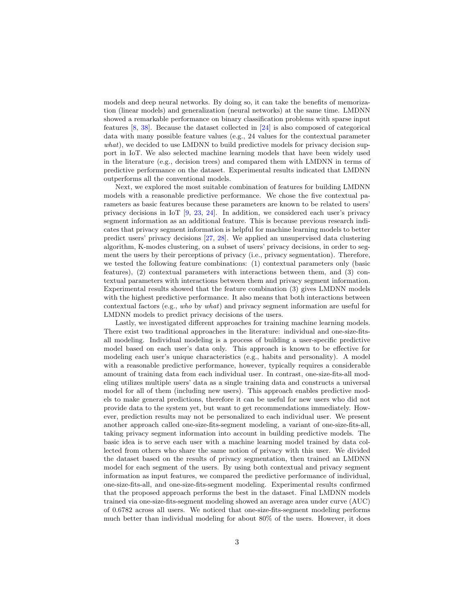models and deep neural networks. By doing so, it can take the benefits of memorization (linear models) and generalization (neural networks) at the same time. LMDNN showed a remarkable performance on binary classification problems with sparse input features [\[8,](#page-22-3) [38\]](#page-24-5). Because the dataset collected in [\[24\]](#page-23-1) is also composed of categorical data with many possible feature values (e.g., 24 values for the contextual parameter what), we decided to use LMDNN to build predictive models for privacy decision support in IoT. We also selected machine learning models that have been widely used in the literature (e.g., decision trees) and compared them with LMDNN in terms of predictive performance on the dataset. Experimental results indicated that LMDNN outperforms all the conventional models.

Next, we explored the most suitable combination of features for building LMDNN models with a reasonable predictive performance. We chose the five contextual parameters as basic features because these parameters are known to be related to users' privacy decisions in IoT [\[9,](#page-22-4) [23,](#page-23-2) [24\]](#page-23-1). In addition, we considered each user's privacy segment information as an additional feature. This is because previous research indicates that privacy segment information is helpful for machine learning models to better predict users' privacy decisions [\[27,](#page-23-3) [28\]](#page-23-4). We applied an unsupervised data clustering algorithm, K-modes clustering, on a subset of users' privacy decisions, in order to segment the users by their perceptions of privacy (i.e., privacy segmentation). Therefore, we tested the following feature combinations: (1) contextual parameters only (basic features), (2) contextual parameters with interactions between them, and (3) contextual parameters with interactions between them and privacy segment information. Experimental results showed that the feature combination (3) gives LMDNN models with the highest predictive performance. It also means that both interactions between contextual factors (e.g., who by what) and privacy segment information are useful for LMDNN models to predict privacy decisions of the users.

Lastly, we investigated different approaches for training machine learning models. There exist two traditional approaches in the literature: individual and one-size-fitsall modeling. Individual modeling is a process of building a user-specific predictive model based on each user's data only. This approach is known to be effective for modeling each user's unique characteristics (e.g., habits and personality). A model with a reasonable predictive performance, however, typically requires a considerable amount of training data from each individual user. In contrast, one-size-fits-all modeling utilizes multiple users' data as a single training data and constructs a universal model for all of them (including new users). This approach enables predictive models to make general predictions, therefore it can be useful for new users who did not provide data to the system yet, but want to get recommendations immediately. However, prediction results may not be personalized to each individual user. We present another approach called one-size-fits-segment modeling, a variant of one-size-fits-all, taking privacy segment information into account in building predictive models. The basic idea is to serve each user with a machine learning model trained by data collected from others who share the same notion of privacy with this user. We divided the dataset based on the results of privacy segmentation, then trained an LMDNN model for each segment of the users. By using both contextual and privacy segment information as input features, we compared the predictive performance of individual, one-size-fits-all, and one-size-fits-segment modeling. Experimental results confirmed that the proposed approach performs the best in the dataset. Final LMDNN models trained via one-size-fits-segment modeling showed an average area under curve (AUC) of 0.6782 across all users. We noticed that one-size-fits-segment modeling performs much better than individual modeling for about 80% of the users. However, it does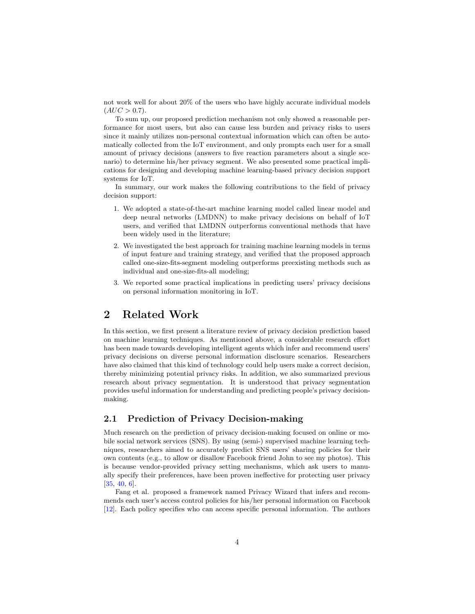not work well for about 20% of the users who have highly accurate individual models  $(AUC > 0.7)$ .

To sum up, our proposed prediction mechanism not only showed a reasonable performance for most users, but also can cause less burden and privacy risks to users since it mainly utilizes non-personal contextual information which can often be automatically collected from the IoT environment, and only prompts each user for a small amount of privacy decisions (answers to five reaction parameters about a single scenario) to determine his/her privacy segment. We also presented some practical implications for designing and developing machine learning-based privacy decision support systems for IoT.

In summary, our work makes the following contributions to the field of privacy decision support:

- 1. We adopted a state-of-the-art machine learning model called linear model and deep neural networks (LMDNN) to make privacy decisions on behalf of IoT users, and verified that LMDNN outperforms conventional methods that have been widely used in the literature;
- 2. We investigated the best approach for training machine learning models in terms of input feature and training strategy, and verified that the proposed approach called one-size-fits-segment modeling outperforms preexisting methods such as individual and one-size-fits-all modeling;
- 3. We reported some practical implications in predicting users' privacy decisions on personal information monitoring in IoT.

# 2 Related Work

In this section, we first present a literature review of privacy decision prediction based on machine learning techniques. As mentioned above, a considerable research effort has been made towards developing intelligent agents which infer and recommend users' privacy decisions on diverse personal information disclosure scenarios. Researchers have also claimed that this kind of technology could help users make a correct decision, thereby minimizing potential privacy risks. In addition, we also summarized previous research about privacy segmentation. It is understood that privacy segmentation provides useful information for understanding and predicting people's privacy decisionmaking.

### 2.1 Prediction of Privacy Decision-making

Much research on the prediction of privacy decision-making focused on online or mobile social network services (SNS). By using (semi-) supervised machine learning techniques, researchers aimed to accurately predict SNS users' sharing policies for their own contents (e.g., to allow or disallow Facebook friend John to see my photos). This is because vendor-provided privacy setting mechanisms, which ask users to manually specify their preferences, have been proven ineffective for protecting user privacy [\[35,](#page-24-1) [40,](#page-24-4) [6\]](#page-22-2).

Fang et al. proposed a framework named Privacy Wizard that infers and recommends each user's access control policies for his/her personal information on Facebook [\[12\]](#page-22-1). Each policy specifies who can access specific personal information. The authors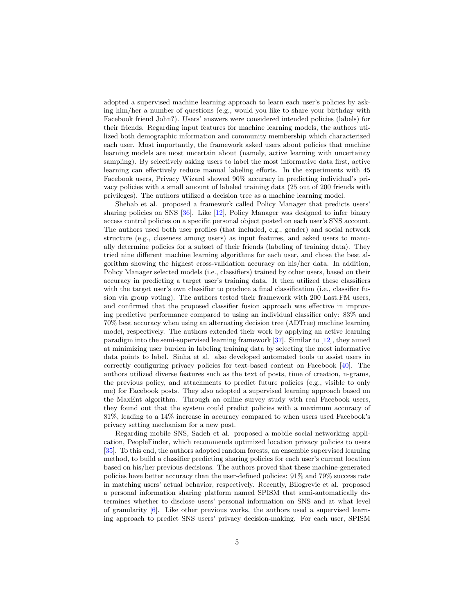adopted a supervised machine learning approach to learn each user's policies by asking him/her a number of questions (e.g., would you like to share your birthday with Facebook friend John?). Users' answers were considered intended policies (labels) for their friends. Regarding input features for machine learning models, the authors utilized both demographic information and community membership which characterized each user. Most importantly, the framework asked users about policies that machine learning models are most uncertain about (namely, active learning with uncertainty sampling). By selectively asking users to label the most informative data first, active learning can effectively reduce manual labeling efforts. In the experiments with 45 Facebook users, Privacy Wizard showed 90% accuracy in predicting individual's privacy policies with a small amount of labeled training data (25 out of 200 friends with privileges). The authors utilized a decision tree as a machine learning model.

Shehab et al. proposed a framework called Policy Manager that predicts users' sharing policies on SNS [\[36\]](#page-24-2). Like [\[12\]](#page-22-1), Policy Manager was designed to infer binary access control policies on a specific personal object posted on each user's SNS account. The authors used both user profiles (that included, e.g., gender) and social network structure (e.g., closeness among users) as input features, and asked users to manually determine policies for a subset of their friends (labeling of training data). They tried nine different machine learning algorithms for each user, and chose the best algorithm showing the highest cross-validation accuracy on his/her data. In addition, Policy Manager selected models (i.e., classifiers) trained by other users, based on their accuracy in predicting a target user's training data. It then utilized these classifiers with the target user's own classifier to produce a final classification (i.e., classifier fusion via group voting). The authors tested their framework with 200 Last.FM users, and confirmed that the proposed classifier fusion approach was effective in improving predictive performance compared to using an individual classifier only: 83% and 70% best accuracy when using an alternating decision tree (ADTree) machine learning model, respectively. The authors extended their work by applying an active learning paradigm into the semi-supervised learning framework [\[37\]](#page-24-3). Similar to [\[12\]](#page-22-1), they aimed at minimizing user burden in labeling training data by selecting the most informative data points to label. Sinha et al. also developed automated tools to assist users in correctly configuring privacy policies for text-based content on Facebook [\[40\]](#page-24-4). The authors utilized diverse features such as the text of posts, time of creation, n-grams, the previous policy, and attachments to predict future policies (e.g., visible to only me) for Facebook posts. They also adopted a supervised learning approach based on the MaxEnt algorithm. Through an online survey study with real Facebook users, they found out that the system could predict policies with a maximum accuracy of 81%, leading to a 14% increase in accuracy compared to when users used Facebook's privacy setting mechanism for a new post.

Regarding mobile SNS, Sadeh et al. proposed a mobile social networking application, PeopleFinder, which recommends optimized location privacy policies to users [\[35\]](#page-24-1). To this end, the authors adopted random forests, an ensemble supervised learning method, to build a classifier predicting sharing policies for each user's current location based on his/her previous decisions. The authors proved that these machine-generated policies have better accuracy than the user-defined policies: 91% and 79% success rate in matching users' actual behavior, respectively. Recently, Bilogrevic et al. proposed a personal information sharing platform named SPISM that semi-automatically determines whether to disclose users' personal information on SNS and at what level of granularity [\[6\]](#page-22-2). Like other previous works, the authors used a supervised learning approach to predict SNS users' privacy decision-making. For each user, SPISM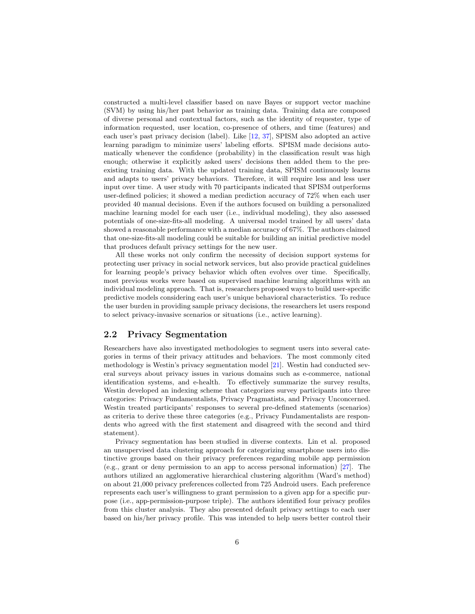constructed a multi-level classifier based on nave Bayes or support vector machine (SVM) by using his/her past behavior as training data. Training data are composed of diverse personal and contextual factors, such as the identity of requester, type of information requested, user location, co-presence of others, and time (features) and each user's past privacy decision (label). Like [\[12,](#page-22-1) [37\]](#page-24-3), SPISM also adopted an active learning paradigm to minimize users' labeling efforts. SPISM made decisions automatically whenever the confidence (probability) in the classification result was high enough; otherwise it explicitly asked users' decisions then added them to the preexisting training data. With the updated training data, SPISM continuously learns and adapts to users' privacy behaviors. Therefore, it will require less and less user input over time. A user study with 70 participants indicated that SPISM outperforms user-defined policies; it showed a median prediction accuracy of 72% when each user provided 40 manual decisions. Even if the authors focused on building a personalized machine learning model for each user (i.e., individual modeling), they also assessed potentials of one-size-fits-all modeling. A universal model trained by all users' data showed a reasonable performance with a median accuracy of 67%. The authors claimed that one-size-fits-all modeling could be suitable for building an initial predictive model that produces default privacy settings for the new user.

All these works not only confirm the necessity of decision support systems for protecting user privacy in social network services, but also provide practical guidelines for learning people's privacy behavior which often evolves over time. Specifically, most previous works were based on supervised machine learning algorithms with an individual modeling approach. That is, researchers proposed ways to build user-specific predictive models considering each user's unique behavioral characteristics. To reduce the user burden in providing sample privacy decisions, the researchers let users respond to select privacy-invasive scenarios or situations (i.e., active learning).

### 2.2 Privacy Segmentation

Researchers have also investigated methodologies to segment users into several categories in terms of their privacy attitudes and behaviors. The most commonly cited methodology is Westin's privacy segmentation model [\[21\]](#page-23-5). Westin had conducted several surveys about privacy issues in various domains such as e-commerce, national identification systems, and e-health. To effectively summarize the survey results, Westin developed an indexing scheme that categorizes survey participants into three categories: Privacy Fundamentalists, Privacy Pragmatists, and Privacy Unconcerned. Westin treated participants' responses to several pre-defined statements (scenarios) as criteria to derive these three categories (e.g., Privacy Fundamentalists are respondents who agreed with the first statement and disagreed with the second and third statement).

Privacy segmentation has been studied in diverse contexts. Lin et al. proposed an unsupervised data clustering approach for categorizing smartphone users into distinctive groups based on their privacy preferences regarding mobile app permission (e.g., grant or deny permission to an app to access personal information) [\[27\]](#page-23-3). The authors utilized an agglomerative hierarchical clustering algorithm (Ward's method) on about 21,000 privacy preferences collected from 725 Android users. Each preference represents each user's willingness to grant permission to a given app for a specific purpose (i.e., app-permission-purpose triple). The authors identified four privacy profiles from this cluster analysis. They also presented default privacy settings to each user based on his/her privacy profile. This was intended to help users better control their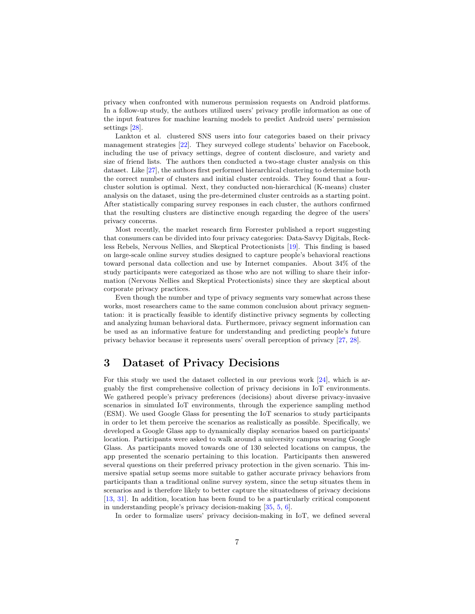privacy when confronted with numerous permission requests on Android platforms. In a follow-up study, the authors utilized users' privacy profile information as one of the input features for machine learning models to predict Android users' permission settings [\[28\]](#page-23-4).

Lankton et al. clustered SNS users into four categories based on their privacy management strategies [\[22\]](#page-23-6). They surveyed college students' behavior on Facebook, including the use of privacy settings, degree of content disclosure, and variety and size of friend lists. The authors then conducted a two-stage cluster analysis on this dataset. Like [\[27\]](#page-23-3), the authors first performed hierarchical clustering to determine both the correct number of clusters and initial cluster centroids. They found that a fourcluster solution is optimal. Next, they conducted non-hierarchical (K-means) cluster analysis on the dataset, using the pre-determined cluster centroids as a starting point. After statistically comparing survey responses in each cluster, the authors confirmed that the resulting clusters are distinctive enough regarding the degree of the users' privacy concerns.

Most recently, the market research firm Forrester published a report suggesting that consumers can be divided into four privacy categories: Data-Savvy Digitals, Reckless Rebels, Nervous Nellies, and Skeptical Protectionists [\[19\]](#page-22-5). This finding is based on large-scale online survey studies designed to capture people's behavioral reactions toward personal data collection and use by Internet companies. About 34% of the study participants were categorized as those who are not willing to share their information (Nervous Nellies and Skeptical Protectionists) since they are skeptical about corporate privacy practices.

Even though the number and type of privacy segments vary somewhat across these works, most researchers came to the same common conclusion about privacy segmentation: it is practically feasible to identify distinctive privacy segments by collecting and analyzing human behavioral data. Furthermore, privacy segment information can be used as an informative feature for understanding and predicting people's future privacy behavior because it represents users' overall perception of privacy [\[27,](#page-23-3) [28\]](#page-23-4).

# 3 Dataset of Privacy Decisions

For this study we used the dataset collected in our previous work [\[24\]](#page-23-1), which is arguably the first comprehensive collection of privacy decisions in IoT environments. We gathered people's privacy preferences (decisions) about diverse privacy-invasive scenarios in simulated IoT environments, through the experience sampling method (ESM). We used Google Glass for presenting the IoT scenarios to study participants in order to let them perceive the scenarios as realistically as possible. Specifically, we developed a Google Glass app to dynamically display scenarios based on participants' location. Participants were asked to walk around a university campus wearing Google Glass. As participants moved towards one of 130 selected locations on campus, the app presented the scenario pertaining to this location. Participants then answered several questions on their preferred privacy protection in the given scenario. This immersive spatial setup seems more suitable to gather accurate privacy behaviors from participants than a traditional online survey system, since the setup situates them in scenarios and is therefore likely to better capture the situatedness of privacy decisions [\[13,](#page-22-6) [31\]](#page-23-7). In addition, location has been found to be a particularly critical component in understanding people's privacy decision-making [\[35,](#page-24-1) [5,](#page-22-7) [6\]](#page-22-2).

In order to formalize users' privacy decision-making in IoT, we defined several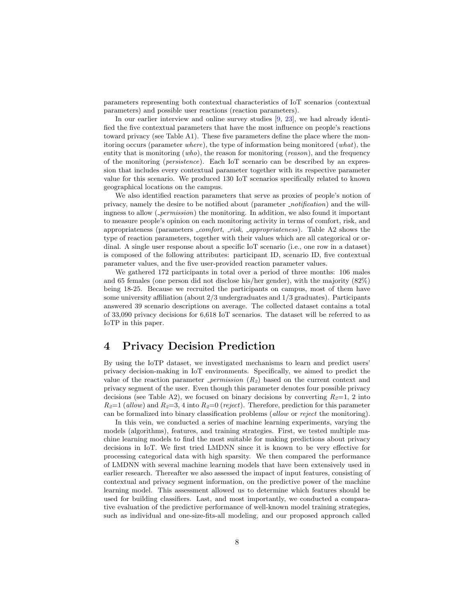parameters representing both contextual characteristics of IoT scenarios (contextual parameters) and possible user reactions (reaction parameters).

In our earlier interview and online survey studies [\[9,](#page-22-4) [23\]](#page-23-2), we had already identified the five contextual parameters that have the most influence on people's reactions toward privacy (see Table A1). These five parameters define the place where the monitoring occurs (parameter where), the type of information being monitored (what), the entity that is monitoring  $(who)$ , the reason for monitoring  $(reason)$ , and the frequency of the monitoring (persistence). Each IoT scenario can be described by an expression that includes every contextual parameter together with its respective parameter value for this scenario. We produced 130 IoT scenarios specifically related to known geographical locations on the campus.

We also identified reaction parameters that serve as proxies of people's notion of privacy, namely the desire to be notified about (parameter *notification*) and the willingness to allow (*permission*) the monitoring. In addition, we also found it important to measure people's opinion on each monitoring activity in terms of comfort, risk, and appropriateness (parameters *comfort*, *risk*, *appropriateness*). Table A2 shows the type of reaction parameters, together with their values which are all categorical or ordinal. A single user response about a specific IoT scenario (i.e., one row in a dataset) is composed of the following attributes: participant ID, scenario ID, five contextual parameter values, and the five user-provided reaction parameter values.

We gathered 172 participants in total over a period of three months: 106 males and 65 females (one person did not disclose his/her gender), with the majority (82%) being 18-25. Because we recruited the participants on campus, most of them have some university affiliation (about 2/3 undergraduates and 1/3 graduates). Participants answered 39 scenario descriptions on average. The collected dataset contains a total of 33,090 privacy decisions for 6,618 IoT scenarios. The dataset will be referred to as IoTP in this paper.

## 4 Privacy Decision Prediction

By using the IoTP dataset, we investigated mechanisms to learn and predict users' privacy decision-making in IoT environments. Specifically, we aimed to predict the value of the reaction parameter *permission*  $(R_2)$  based on the current context and privacy segment of the user. Even though this parameter denotes four possible privacy decisions (see Table A2), we focused on binary decisions by converting  $R_2=1$ , 2 into  $R_2=1$  (allow) and  $R_2=3$ , 4 into  $R_2=0$  (reject). Therefore, prediction for this parameter can be formalized into binary classification problems (allow or reject the monitoring).

In this vein, we conducted a series of machine learning experiments, varying the models (algorithms), features, and training strategies. First, we tested multiple machine learning models to find the most suitable for making predictions about privacy decisions in IoT. We first tried LMDNN since it is known to be very effective for processing categorical data with high sparsity. We then compared the performance of LMDNN with several machine learning models that have been extensively used in earlier research. Thereafter we also assessed the impact of input features, consisting of contextual and privacy segment information, on the predictive power of the machine learning model. This assessment allowed us to determine which features should be used for building classifiers. Last, and most importantly, we conducted a comparative evaluation of the predictive performance of well-known model training strategies, such as individual and one-size-fits-all modeling, and our proposed approach called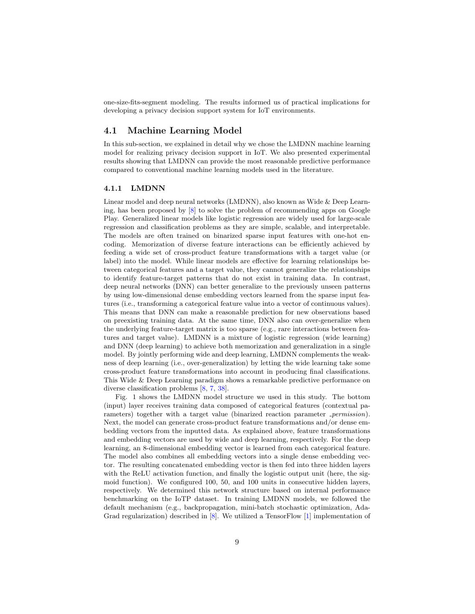one-size-fits-segment modeling. The results informed us of practical implications for developing a privacy decision support system for IoT environments.

### 4.1 Machine Learning Model

In this sub-section, we explained in detail why we chose the LMDNN machine learning model for realizing privacy decision support in IoT. We also presented experimental results showing that LMDNN can provide the most reasonable predictive performance compared to conventional machine learning models used in the literature.

#### 4.1.1 LMDNN

Linear model and deep neural networks (LMDNN), also known as Wide & Deep Learning, has been proposed by [\[8\]](#page-22-3) to solve the problem of recommending apps on Google Play. Generalized linear models like logistic regression are widely used for large-scale regression and classification problems as they are simple, scalable, and interpretable. The models are often trained on binarized sparse input features with one-hot encoding. Memorization of diverse feature interactions can be efficiently achieved by feeding a wide set of cross-product feature transformations with a target value (or label) into the model. While linear models are effective for learning relationships between categorical features and a target value, they cannot generalize the relationships to identify feature-target patterns that do not exist in training data. In contrast, deep neural networks (DNN) can better generalize to the previously unseen patterns by using low-dimensional dense embedding vectors learned from the sparse input features (i.e., transforming a categorical feature value into a vector of continuous values). This means that DNN can make a reasonable prediction for new observations based on preexisting training data. At the same time, DNN also can over-generalize when the underlying feature-target matrix is too sparse (e.g., rare interactions between features and target value). LMDNN is a mixture of logistic regression (wide learning) and DNN (deep learning) to achieve both memorization and generalization in a single model. By jointly performing wide and deep learning, LMDNN complements the weakness of deep learning (i.e., over-generalization) by letting the wide learning take some cross-product feature transformations into account in producing final classifications. This Wide & Deep Learning paradigm shows a remarkable predictive performance on diverse classification problems [\[8,](#page-22-3) [7,](#page-22-8) [38\]](#page-24-5).

Fig. [1](#page-10-0) shows the LMDNN model structure we used in this study. The bottom (input) layer receives training data composed of categorical features (contextual parameters) together with a target value (binarized reaction parameter *\_permission*). Next, the model can generate cross-product feature transformations and/or dense embedding vectors from the inputted data. As explained above, feature transformations and embedding vectors are used by wide and deep learning, respectively. For the deep learning, an 8-dimensional embedding vector is learned from each categorical feature. The model also combines all embedding vectors into a single dense embedding vector. The resulting concatenated embedding vector is then fed into three hidden layers with the ReLU activation function, and finally the logistic output unit (here, the sigmoid function). We configured 100, 50, and 100 units in consecutive hidden layers, respectively. We determined this network structure based on internal performance benchmarking on the IoTP dataset. In training LMDNN models, we followed the default mechanism (e.g., backpropagation, mini-batch stochastic optimization, Ada-Grad regularization) described in [\[8\]](#page-22-3). We utilized a TensorFlow [\[1\]](#page-21-1) implementation of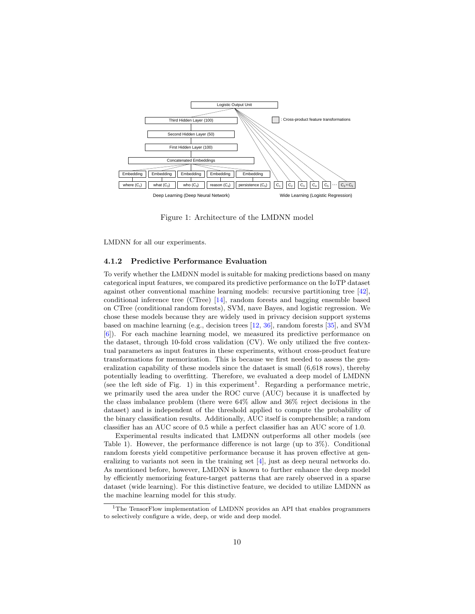

<span id="page-10-0"></span>Figure 1: Architecture of the LMDNN model

LMDNN for all our experiments.

#### 4.1.2 Predictive Performance Evaluation

To verify whether the LMDNN model is suitable for making predictions based on many categorical input features, we compared its predictive performance on the IoTP dataset against other conventional machine learning models: recursive partitioning tree [\[42\]](#page-24-6), conditional inference tree (CTree) [\[14\]](#page-22-9), random forests and bagging ensemble based on CTree (conditional random forests), SVM, nave Bayes, and logistic regression. We chose these models because they are widely used in privacy decision support systems based on machine learning (e.g., decision trees [\[12,](#page-22-1) [36\]](#page-24-2), random forests [\[35\]](#page-24-1), and SVM [\[6\]](#page-22-2)). For each machine learning model, we measured its predictive performance on the dataset, through 10-fold cross validation (CV). We only utilized the five contextual parameters as input features in these experiments, without cross-product feature transformations for memorization. This is because we first needed to assess the generalization capability of these models since the dataset is small (6,618 rows), thereby potentially leading to overfitting. Therefore, we evaluated a deep model of LMDNN (see the left side of Fig. [1\)](#page-10-0) in this experiment<sup>[1](#page-10-1)</sup>. Regarding a performance metric, we primarily used the area under the ROC curve (AUC) because it is unaffected by the class imbalance problem (there were 64% allow and 36% reject decisions in the dataset) and is independent of the threshold applied to compute the probability of the binary classification results. Additionally, AUC itself is comprehensible; a random classifier has an AUC score of 0.5 while a perfect classifier has an AUC score of 1.0.

Experimental results indicated that LMDNN outperforms all other models (see Table [1\)](#page-11-0). However, the performance difference is not large (up to 3%). Conditional random forests yield competitive performance because it has proven effective at generalizing to variants not seen in the training set [\[4\]](#page-21-2), just as deep neural networks do. As mentioned before, however, LMDNN is known to further enhance the deep model by efficiently memorizing feature-target patterns that are rarely observed in a sparse dataset (wide learning). For this distinctive feature, we decided to utilize LMDNN as the machine learning model for this study.

<span id="page-10-1"></span><sup>&</sup>lt;sup>1</sup>The TensorFlow implementation of LMDNN provides an API that enables programmers to selectively configure a wide, deep, or wide and deep model.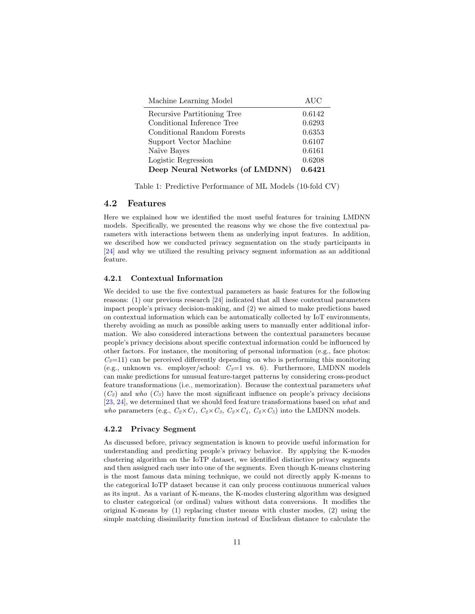| Machine Learning Model          | <b>AUC</b> |
|---------------------------------|------------|
| Recursive Partitioning Tree     | 0.6142     |
| Conditional Inference Tree      | 0.6293     |
| Conditional Random Forests      | 0.6353     |
| Support Vector Machine          | 0.6107     |
| Naïve Bayes                     | 0.6161     |
| Logistic Regression             | 0.6208     |
| Deep Neural Networks (of LMDNN) | 0.6421     |

<span id="page-11-0"></span>Table 1: Predictive Performance of ML Models (10-fold CV)

#### 4.2 Features

Here we explained how we identified the most useful features for training LMDNN models. Specifically, we presented the reasons why we chose the five contextual parameters with interactions between them as underlying input features. In addition, we described how we conducted privacy segmentation on the study participants in [\[24\]](#page-23-1) and why we utilized the resulting privacy segment information as an additional feature.

#### 4.2.1 Contextual Information

We decided to use the five contextual parameters as basic features for the following reasons: (1) our previous research [\[24\]](#page-23-1) indicated that all these contextual parameters impact people's privacy decision-making, and (2) we aimed to make predictions based on contextual information which can be automatically collected by IoT environments, thereby avoiding as much as possible asking users to manually enter additional information. We also considered interactions between the contextual parameters because people's privacy decisions about specific contextual information could be influenced by other factors. For instance, the monitoring of personal information (e.g., face photos:  $C_2=11$ ) can be perceived differently depending on who is performing this monitoring (e.g., unknown vs. employer/school:  $C_3=1$  vs. 6). Furthermore, LMDNN models can make predictions for unusual feature-target patterns by considering cross-product feature transformations (i.e., memorization). Because the contextual parameters what  $(C_2)$  and who  $(C_3)$  have the most significant influence on people's privacy decisions [\[23,](#page-23-2) [24\]](#page-23-1), we determined that we should feed feature transformations based on what and who parameters (e.g.,  $C_2 \times C_1$ ,  $C_2 \times C_3$ ,  $C_2 \times C_4$ ,  $C_2 \times C_5$ ) into the LMDNN models.

#### <span id="page-11-1"></span>4.2.2 Privacy Segment

As discussed before, privacy segmentation is known to provide useful information for understanding and predicting people's privacy behavior. By applying the K-modes clustering algorithm on the IoTP dataset, we identified distinctive privacy segments and then assigned each user into one of the segments. Even though K-means clustering is the most famous data mining technique, we could not directly apply K-means to the categorical IoTP dataset because it can only process continuous numerical values as its input. As a variant of K-means, the K-modes clustering algorithm was designed to cluster categorical (or ordinal) values without data conversions. It modifies the original K-means by (1) replacing cluster means with cluster modes, (2) using the simple matching dissimilarity function instead of Euclidean distance to calculate the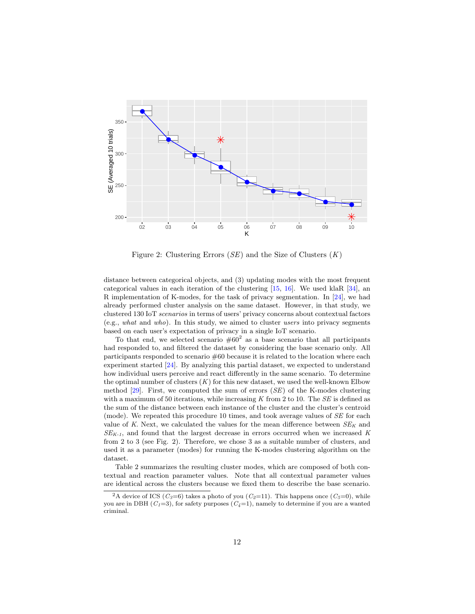

<span id="page-12-1"></span>Figure 2: Clustering Errors  $(SE)$  and the Size of Clusters  $(K)$ 

distance between categorical objects, and (3) updating modes with the most frequent categorical values in each iteration of the clustering  $[15, 16]$  $[15, 16]$  $[15, 16]$ . We used klaR  $[34]$ , an R implementation of K-modes, for the task of privacy segmentation. In [\[24\]](#page-23-1), we had already performed cluster analysis on the same dataset. However, in that study, we clustered 130 IoT scenarios in terms of users' privacy concerns about contextual factors (e.g., what and who). In this study, we aimed to cluster users into privacy segments based on each user's expectation of privacy in a single IoT scenario.

To that end, we selected scenario  $#60^2$  $#60^2$  as a base scenario that all participants had responded to, and filtered the dataset by considering the base scenario only. All participants responded to scenario  $#60$  because it is related to the location where each experiment started [\[24\]](#page-23-1). By analyzing this partial dataset, we expected to understand how individual users perceive and react differently in the same scenario. To determine the optimal number of clusters  $(K)$  for this new dataset, we used the well-known Elbow method  $[29]$ . First, we computed the sum of errors  $(SE)$  of the K-modes clustering with a maximum of 50 iterations, while increasing K from 2 to 10. The  $SE$  is defined as the sum of the distance between each instance of the cluster and the cluster's centroid (mode). We repeated this procedure 10 times, and took average values of SE for each value of K. Next, we calculated the values for the mean difference between  $SE_K$  and  $SE_{K-1}$ , and found that the largest decrease in errors occurred when we increased K from 2 to 3 (see Fig. [2\)](#page-12-1). Therefore, we chose 3 as a suitable number of clusters, and used it as a parameter (modes) for running the K-modes clustering algorithm on the dataset.

Table [2](#page-13-0) summarizes the resulting cluster modes, which are composed of both contextual and reaction parameter values. Note that all contextual parameter values are identical across the clusters because we fixed them to describe the base scenario.

<span id="page-12-0"></span><sup>&</sup>lt;sup>2</sup>A device of ICS ( $C_3$ =6) takes a photo of you ( $C_2$ =11). This happens once ( $C_5$ =0), while you are in DBH ( $C_1=3$ ), for safety purposes ( $C_4=1$ ), namely to determine if you are a wanted criminal.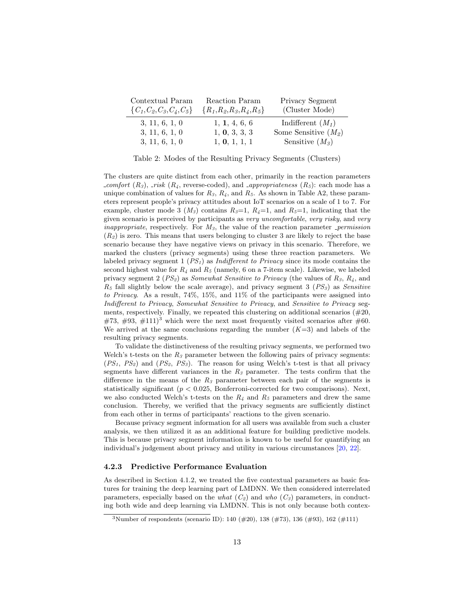| Contextual Param            | Reaction Param              | Privacy Segment        |
|-----------------------------|-----------------------------|------------------------|
| ${C_1, C_2, C_3, C_4, C_5}$ | ${R_1, R_2, R_3, R_4, R_5}$ | (Cluster Mode)         |
| 3, 11, 6, 1, 0              | 1, 1, 4, 6, 6               | Indifferent $(M_1)$    |
| 3, 11, 6, 1, 0              | 1, 0, 3, 3, 3               | Some Sensitive $(M_2)$ |
| 3, 11, 6, 1, 0              | 1, 0, 1, 1, 1               | Sensitive $(M_3)$      |

<span id="page-13-0"></span>Table 2: Modes of the Resulting Privacy Segments (Clusters)

The clusters are quite distinct from each other, primarily in the reaction parameters *comfort*  $(R_3)$ , *risk*  $(R_4)$ , reverse-coded), and *appropriateness*  $(R_5)$ : each mode has a unique combination of values for  $R_3$ ,  $R_4$ , and  $R_5$ . As shown in Table A2, these parameters represent people's privacy attitudes about IoT scenarios on a scale of 1 to 7. For example, cluster mode 3 ( $M_3$ ) contains  $R_3=1$ ,  $R_4=1$ , and  $R_5=1$ , indicating that the given scenario is perceived by participants as very uncomfortable, very risky, and very *inappropriate*, respectively. For  $M_3$ , the value of the reaction parameter *permission*  $(R<sub>2</sub>)$  is zero. This means that users belonging to cluster 3 are likely to reject the base scenario because they have negative views on privacy in this scenario. Therefore, we marked the clusters (privacy segments) using these three reaction parameters. We labeled privacy segment 1 ( $PS<sub>1</sub>$ ) as *Indifferent to Privacy* since its mode contains the second highest value for  $R_4$  and  $R_5$  (namely, 6 on a 7-item scale). Likewise, we labeled privacy segment  $2 (PS<sub>2</sub>)$  as *Somewhat Sensitive to Privacy* (the values of  $R<sub>3</sub>$ ,  $R<sub>4</sub>$ , and  $R_5$  fall slightly below the scale average), and privacy segment 3 ( $PS_3$ ) as Sensitive to Privacy. As a result, 74%, 15%, and 11% of the participants were assigned into Indifferent to Privacy, Somewhat Sensitive to Privacy, and Sensitive to Privacy segments, respectively. Finally, we repeated this clustering on additional scenarios  $(\#20,$  $\#73, \#93, \#111$  $\#73, \#93, \#111$  $\#73, \#93, \#111$ <sup>3</sup> which were the next most frequently visited scenarios after  $\#60$ . We arrived at the same conclusions regarding the number  $(K=3)$  and labels of the resulting privacy segments.

To validate the distinctiveness of the resulting privacy segments, we performed two Welch's t-tests on the  $R<sub>3</sub>$  parameter between the following pairs of privacy segments:  $(PS_1, PS_2)$  and  $(PS_2, PS_3)$ . The reason for using Welch's t-test is that all privacy segments have different variances in the  $R_3$  parameter. The tests confirm that the difference in the means of the  $R_3$  parameter between each pair of the segments is statistically significant ( $p < 0.025$ , Bonferroni-corrected for two comparisons). Next, we also conducted Welch's t-tests on the  $R_4$  and  $R_5$  parameters and drew the same conclusion. Thereby, we verified that the privacy segments are sufficiently distinct from each other in terms of participants' reactions to the given scenario.

Because privacy segment information for all users was available from such a cluster analysis, we then utilized it as an additional feature for building predictive models. This is because privacy segment information is known to be useful for quantifying an individual's judgement about privacy and utility in various circumstances [\[20,](#page-23-9) [22\]](#page-23-6).

#### 4.2.3 Predictive Performance Evaluation

As described in Section 4.1.2, we treated the five contextual parameters as basic features for training the deep learning part of LMDNN. We then considered interrelated parameters, especially based on the what  $(C_2)$  and who  $(C_3)$  parameters, in conducting both wide and deep learning via LMDNN. This is not only because both contex-

<span id="page-13-1"></span><sup>3</sup>Number of respondents (scenario ID): 140 (#20), 138 (#73), 136 (#93), 162 (#111)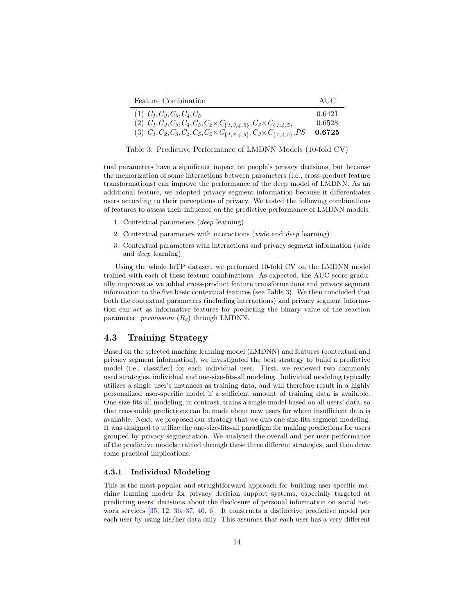| Feature Combination                                                                   | AUC    |
|---------------------------------------------------------------------------------------|--------|
| $(1)$ $C_1, C_2, C_3, C_4, C_5$                                                       | 0.6421 |
| (2) $C_1, C_2, C_3, C_4, C_5, C_2 \times C_{\{1,3,4,5\}}, C_3 \times C_{\{1,4,5\}}$   | 0.6528 |
| (3) $C_1, C_2, C_3, C_4, C_5, C_2 \times C_{1,3,4,5}$ , $C_3 \times C_{1,4,5}$ , $PS$ | 0.6725 |

<span id="page-14-0"></span>Table 3: Predictive Performance of LMDNN Models (10-fold CV)

tual parameters have a significant impact on people's privacy decisions, but because the memorization of some interactions between parameters (i.e., cross-product feature transformations) can improve the performance of the deep model of LMDNN. As an additional feature, we adopted privacy segment information because it differentiates users according to their perceptions of privacy. We tested the following combinations of features to assess their influence on the predictive performance of LMDNN models.

- 1. Contextual parameters (deep learning)
- 2. Contextual parameters with interactions (wide and deep learning)
- 3. Contextual parameters with interactions and privacy segment information (wide and deep learning)

Using the whole IoTP dataset, we performed 10-fold CV on the LMDNN model trained with each of these feature combinations. As expected, the AUC score gradually improves as we added cross-product feature transformations and privacy segment information to the five basic contextual features (see Table [3\)](#page-14-0). We then concluded that both the contextual parameters (including interactions) and privacy segment information can act as informative features for predicting the binary value of the reaction parameter *permission*  $(R_2)$  through LMDNN.

### 4.3 Training Strategy

Based on the selected machine learning model (LMDNN) and features (contextual and privacy segment information), we investigated the best strategy to build a predictive model (i.e., classifier) for each individual user. First, we reviewed two commonly used strategies, individual and one-size-fits-all modeling. Individual modeling typically utilizes a single user's instances as training data, and will therefore result in a highly personalized user-specific model if a sufficient amount of training data is available. One-size-fits-all modeling, in contrast, trains a single model based on all users' data, so that reasonable predictions can be made about new users for whom insufficient data is available. Next, we proposed our strategy that we dub one-size-fits-segment modeling. It was designed to utilize the one-size-fits-all paradigm for making predictions for users grouped by privacy segmentation. We analyzed the overall and per-user performance of the predictive models trained through these three different strategies, and then draw some practical implications.

#### 4.3.1 Individual Modeling

This is the most popular and straightforward approach for building user-specific machine learning models for privacy decision support systems, especially targeted at predicting users' decisions about the disclosure of personal information on social network services [\[35,](#page-24-1) [12,](#page-22-1) [36,](#page-24-2) [37,](#page-24-3) [40,](#page-24-4) [6\]](#page-22-2). It constructs a distinctive predictive model per each user by using his/her data only. This assumes that each user has a very different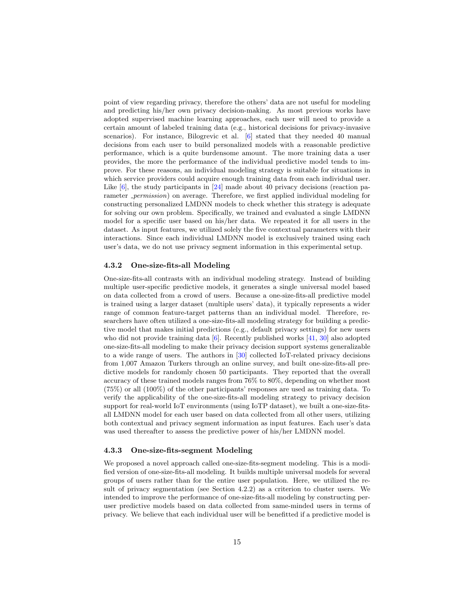point of view regarding privacy, therefore the others' data are not useful for modeling and predicting his/her own privacy decision-making. As most previous works have adopted supervised machine learning approaches, each user will need to provide a certain amount of labeled training data (e.g., historical decisions for privacy-invasive scenarios). For instance, Bilogrevic et al. [\[6\]](#page-22-2) stated that they needed 40 manual decisions from each user to build personalized models with a reasonable predictive performance, which is a quite burdensome amount. The more training data a user provides, the more the performance of the individual predictive model tends to improve. For these reasons, an individual modeling strategy is suitable for situations in which service providers could acquire enough training data from each individual user. Like  $[6]$ , the study participants in  $[24]$  made about 40 privacy decisions (reaction parameter *permission*) on average. Therefore, we first applied individual modeling for constructing personalized LMDNN models to check whether this strategy is adequate for solving our own problem. Specifically, we trained and evaluated a single LMDNN model for a specific user based on his/her data. We repeated it for all users in the dataset. As input features, we utilized solely the five contextual parameters with their interactions. Since each individual LMDNN model is exclusively trained using each user's data, we do not use privacy segment information in this experimental setup.

#### 4.3.2 One-size-fits-all Modeling

One-size-fits-all contrasts with an individual modeling strategy. Instead of building multiple user-specific predictive models, it generates a single universal model based on data collected from a crowd of users. Because a one-size-fits-all predictive model is trained using a larger dataset (multiple users' data), it typically represents a wider range of common feature-target patterns than an individual model. Therefore, researchers have often utilized a one-size-fits-all modeling strategy for building a predictive model that makes initial predictions (e.g., default privacy settings) for new users who did not provide training data [\[6\]](#page-22-2). Recently published works [\[41,](#page-24-8) [30\]](#page-23-10) also adopted one-size-fits-all modeling to make their privacy decision support systems generalizable to a wide range of users. The authors in [\[30\]](#page-23-10) collected IoT-related privacy decisions from 1,007 Amazon Turkers through an online survey, and built one-size-fits-all predictive models for randomly chosen 50 participants. They reported that the overall accuracy of these trained models ranges from 76% to 80%, depending on whether most (75%) or all (100%) of the other participants' responses are used as training data. To verify the applicability of the one-size-fits-all modeling strategy to privacy decision support for real-world IoT environments (using IoTP dataset), we built a one-size-fitsall LMDNN model for each user based on data collected from all other users, utilizing both contextual and privacy segment information as input features. Each user's data was used thereafter to assess the predictive power of his/her LMDNN model.

#### 4.3.3 One-size-fits-segment Modeling

We proposed a novel approach called one-size-fits-segment modeling. This is a modified version of one-size-fits-all modeling. It builds multiple universal models for several groups of users rather than for the entire user population. Here, we utilized the result of privacy segmentation (see Section [4.2.2\)](#page-11-1) as a criterion to cluster users. We intended to improve the performance of one-size-fits-all modeling by constructing peruser predictive models based on data collected from same-minded users in terms of privacy. We believe that each individual user will be benefitted if a predictive model is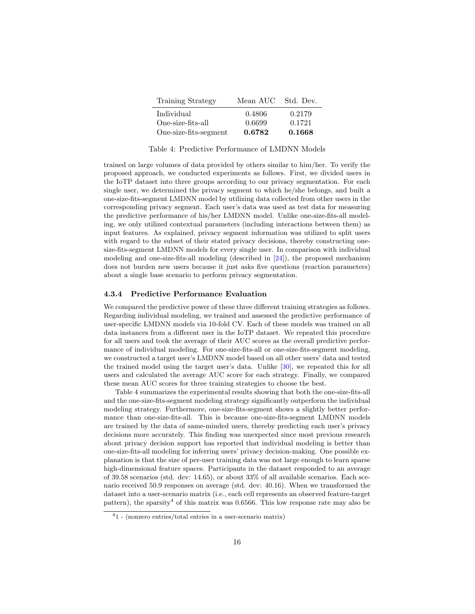| Training Strategy     | Mean AUC | Std. Dev. |
|-----------------------|----------|-----------|
| Individual            | 0.4806   | 0.2179    |
| One-size-fits-all     | 0.6699   | 0.1721    |
| One-size-fits-segment | 0.6782   | 0.1668    |

<span id="page-16-0"></span>Table 4: Predictive Performance of LMDNN Models

trained on large volumes of data provided by others similar to him/her. To verify the proposed approach, we conducted experiments as follows. First, we divided users in the IoTP dataset into three groups according to our privacy segmentation. For each single user, we determined the privacy segment to which he/she belongs, and built a one-size-fits-segment LMDNN model by utilizing data collected from other users in the corresponding privacy segment. Each user's data was used as test data for measuring the predictive performance of his/her LMDNN model. Unlike one-size-fits-all modeling, we only utilized contextual parameters (including interactions between them) as input features. As explained, privacy segment information was utilized to split users with regard to the subset of their stated privacy decisions, thereby constructing onesize-fits-segment LMDNN models for every single user. In comparison with individual modeling and one-size-fits-all modeling (described in [\[24\]](#page-23-1)), the proposed mechanism does not burden new users because it just asks five questions (reaction parameters) about a single base scenario to perform privacy segmentation.

#### 4.3.4 Predictive Performance Evaluation

We compared the predictive power of these three different training strategies as follows. Regarding individual modeling, we trained and assessed the predictive performance of user-specific LMDNN models via 10-fold CV. Each of these models was trained on all data instances from a different user in the IoTP dataset. We repeated this procedure for all users and took the average of their AUC scores as the overall predictive performance of individual modeling. For one-size-fits-all or one-size-fits-segment modeling, we constructed a target user's LMDNN model based on all other users' data and tested the trained model using the target user's data. Unlike [\[30\]](#page-23-10), we repeated this for all users and calculated the average AUC score for each strategy. Finally, we compared these mean AUC scores for three training strategies to choose the best.

Table [4](#page-16-0) summarizes the experimental results showing that both the one-size-fits-all and the one-size-fits-segment modeling strategy significantly outperform the individual modeling strategy. Furthermore, one-size-fits-segment shows a slightly better performance than one-size-fits-all. This is because one-size-fits-segment LMDNN models are trained by the data of same-minded users, thereby predicting each user's privacy decisions more accurately. This finding was unexpected since most previous research about privacy decision support has reported that individual modeling is better than one-size-fits-all modeling for inferring users' privacy decision-making. One possible explanation is that the size of per-user training data was not large enough to learn sparse high-dimensional feature spaces. Participants in the dataset responded to an average of 39.58 scenarios (std. dev: 14.65), or about 33% of all available scenarios. Each scenario received 50.9 responses on average (std. dev: 40.16). When we transformed the dataset into a user-scenario matrix (i.e., each cell represents an observed feature-target pattern), the sparsity<sup>[4](#page-16-1)</sup> of this matrix was 0.6566. This low response rate may also be

<span id="page-16-1"></span><sup>4</sup>1 - (nonzero entries/total entries in a user-scenario matrix)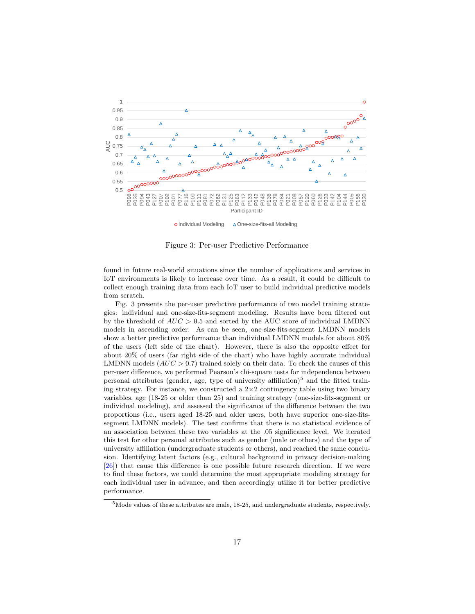

<span id="page-17-0"></span>Figure 3: Per-user Predictive Performance

found in future real-world situations since the number of applications and services in IoT environments is likely to increase over time. As a result, it could be difficult to collect enough training data from each IoT user to build individual predictive models from scratch.

Fig. [3](#page-17-0) presents the per-user predictive performance of two model training strategies: individual and one-size-fits-segment modeling. Results have been filtered out by the threshold of  $AUC > 0.5$  and sorted by the AUC score of individual LMDNN models in ascending order. As can be seen, one-size-fits-segment LMDNN models show a better predictive performance than individual LMDNN models for about 80% of the users (left side of the chart). However, there is also the opposite effect for about 20% of users (far right side of the chart) who have highly accurate individual LMDNN models  $(AUC > 0.7)$  trained solely on their data. To check the causes of this per-user difference, we performed Pearson's chi-square tests for independence between personal attributes (gender, age, type of university affiliation)<sup>[5](#page-17-1)</sup> and the fitted training strategy. For instance, we constructed a  $2\times 2$  contingency table using two binary variables, age (18-25 or older than 25) and training strategy (one-size-fits-segment or individual modeling), and assessed the significance of the difference between the two proportions (i.e., users aged 18-25 and older users, both have superior one-size-fitssegment LMDNN models). The test confirms that there is no statistical evidence of an association between these two variables at the .05 significance level. We iterated this test for other personal attributes such as gender (male or others) and the type of university affiliation (undergraduate students or others), and reached the same conclusion. Identifying latent factors (e.g., cultural background in privacy decision-making [\[26\]](#page-23-11)) that cause this difference is one possible future research direction. If we were to find these factors, we could determine the most appropriate modeling strategy for each individual user in advance, and then accordingly utilize it for better predictive performance.

<span id="page-17-1"></span> $^5 \rm{Mode}$  values of these attributes are male, 18-25, and undergraduate students, respectively.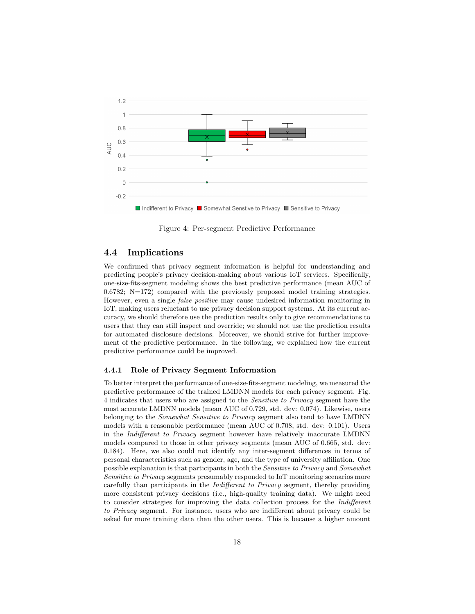

<span id="page-18-0"></span>Figure 4: Per-segment Predictive Performance

### 4.4 Implications

We confirmed that privacy segment information is helpful for understanding and predicting people's privacy decision-making about various IoT services. Specifically, one-size-fits-segment modeling shows the best predictive performance (mean AUC of  $0.6782$ ; N=172) compared with the previously proposed model training strategies. However, even a single false positive may cause undesired information monitoring in IoT, making users reluctant to use privacy decision support systems. At its current accuracy, we should therefore use the prediction results only to give recommendations to users that they can still inspect and override; we should not use the prediction results for automated disclosure decisions. Moreover, we should strive for further improvement of the predictive performance. In the following, we explained how the current predictive performance could be improved.

#### 4.4.1 Role of Privacy Segment Information

To better interpret the performance of one-size-fits-segment modeling, we measured the predictive performance of the trained LMDNN models for each privacy segment. Fig. [4](#page-18-0) indicates that users who are assigned to the Sensitive to Privacy segment have the most accurate LMDNN models (mean AUC of 0.729, std. dev: 0.074). Likewise, users belonging to the Somewhat Sensitive to Privacy segment also tend to have LMDNN models with a reasonable performance (mean AUC of 0.708, std. dev: 0.101). Users in the Indifferent to Privacy segment however have relatively inaccurate LMDNN models compared to those in other privacy segments (mean AUC of 0.665, std. dev: 0.184). Here, we also could not identify any inter-segment differences in terms of personal characteristics such as gender, age, and the type of university affiliation. One possible explanation is that participants in both the Sensitive to Privacy and Somewhat Sensitive to Privacy segments presumably responded to IoT monitoring scenarios more carefully than participants in the Indifferent to Privacy segment, thereby providing more consistent privacy decisions (i.e., high-quality training data). We might need to consider strategies for improving the data collection process for the Indifferent to Privacy segment. For instance, users who are indifferent about privacy could be asked for more training data than the other users. This is because a higher amount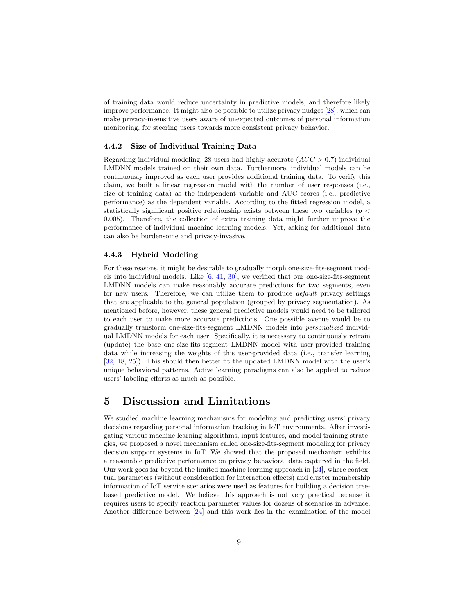of training data would reduce uncertainty in predictive models, and therefore likely improve performance. It might also be possible to utilize privacy nudges [\[28\]](#page-23-4), which can make privacy-insensitive users aware of unexpected outcomes of personal information monitoring, for steering users towards more consistent privacy behavior.

#### 4.4.2 Size of Individual Training Data

Regarding individual modeling, 28 users had highly accurate  $(AUC > 0.7)$  individual LMDNN models trained on their own data. Furthermore, individual models can be continuously improved as each user provides additional training data. To verify this claim, we built a linear regression model with the number of user responses (i.e., size of training data) as the independent variable and AUC scores (i.e., predictive performance) as the dependent variable. According to the fitted regression model, a statistically significant positive relationship exists between these two variables ( $p <$ 0.005). Therefore, the collection of extra training data might further improve the performance of individual machine learning models. Yet, asking for additional data can also be burdensome and privacy-invasive.

#### 4.4.3 Hybrid Modeling

For these reasons, it might be desirable to gradually morph one-size-fits-segment models into individual models. Like  $[6, 41, 30]$  $[6, 41, 30]$  $[6, 41, 30]$  $[6, 41, 30]$  $[6, 41, 30]$ , we verified that our one-size-fits-segment LMDNN models can make reasonably accurate predictions for two segments, even for new users. Therefore, we can utilize them to produce default privacy settings that are applicable to the general population (grouped by privacy segmentation). As mentioned before, however, these general predictive models would need to be tailored to each user to make more accurate predictions. One possible avenue would be to gradually transform one-size-fits-segment LMDNN models into personalized individual LMDNN models for each user. Specifically, it is necessary to continuously retrain (update) the base one-size-fits-segment LMDNN model with user-provided training data while increasing the weights of this user-provided data (i.e., transfer learning [\[32,](#page-23-12) [18,](#page-22-12) [25\]](#page-23-13)). This should then better fit the updated LMDNN model with the user's unique behavioral patterns. Active learning paradigms can also be applied to reduce users' labeling efforts as much as possible.

## 5 Discussion and Limitations

We studied machine learning mechanisms for modeling and predicting users' privacy decisions regarding personal information tracking in IoT environments. After investigating various machine learning algorithms, input features, and model training strategies, we proposed a novel mechanism called one-size-fits-segment modeling for privacy decision support systems in IoT. We showed that the proposed mechanism exhibits a reasonable predictive performance on privacy behavioral data captured in the field. Our work goes far beyond the limited machine learning approach in [\[24\]](#page-23-1), where contextual parameters (without consideration for interaction effects) and cluster membership information of IoT service scenarios were used as features for building a decision treebased predictive model. We believe this approach is not very practical because it requires users to specify reaction parameter values for dozens of scenarios in advance. Another difference between [\[24\]](#page-23-1) and this work lies in the examination of the model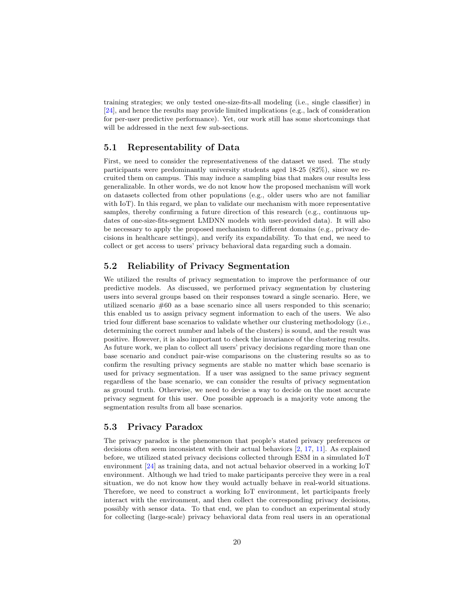training strategies; we only tested one-size-fits-all modeling (i.e., single classifier) in [\[24\]](#page-23-1), and hence the results may provide limited implications (e.g., lack of consideration for per-user predictive performance). Yet, our work still has some shortcomings that will be addressed in the next few sub-sections.

### 5.1 Representability of Data

First, we need to consider the representativeness of the dataset we used. The study participants were predominantly university students aged 18-25 (82%), since we recruited them on campus. This may induce a sampling bias that makes our results less generalizable. In other words, we do not know how the proposed mechanism will work on datasets collected from other populations (e.g., older users who are not familiar with IoT). In this regard, we plan to validate our mechanism with more representative samples, thereby confirming a future direction of this research (e.g., continuous updates of one-size-fits-segment LMDNN models with user-provided data). It will also be necessary to apply the proposed mechanism to different domains (e.g., privacy decisions in healthcare settings), and verify its expandability. To that end, we need to collect or get access to users' privacy behavioral data regarding such a domain.

### 5.2 Reliability of Privacy Segmentation

We utilized the results of privacy segmentation to improve the performance of our predictive models. As discussed, we performed privacy segmentation by clustering users into several groups based on their responses toward a single scenario. Here, we utilized scenario #60 as a base scenario since all users responded to this scenario; this enabled us to assign privacy segment information to each of the users. We also tried four different base scenarios to validate whether our clustering methodology (i.e., determining the correct number and labels of the clusters) is sound, and the result was positive. However, it is also important to check the invariance of the clustering results. As future work, we plan to collect all users' privacy decisions regarding more than one base scenario and conduct pair-wise comparisons on the clustering results so as to confirm the resulting privacy segments are stable no matter which base scenario is used for privacy segmentation. If a user was assigned to the same privacy segment regardless of the base scenario, we can consider the results of privacy segmentation as ground truth. Otherwise, we need to devise a way to decide on the most accurate privacy segment for this user. One possible approach is a majority vote among the segmentation results from all base scenarios.

### 5.3 Privacy Paradox

The privacy paradox is the phenomenon that people's stated privacy preferences or decisions often seem inconsistent with their actual behaviors [\[2,](#page-21-3) [17,](#page-22-13) [11\]](#page-22-14). As explained before, we utilized stated privacy decisions collected through ESM in a simulated IoT environment [\[24\]](#page-23-1) as training data, and not actual behavior observed in a working IoT environment. Although we had tried to make participants perceive they were in a real situation, we do not know how they would actually behave in real-world situations. Therefore, we need to construct a working IoT environment, let participants freely interact with the environment, and then collect the corresponding privacy decisions, possibly with sensor data. To that end, we plan to conduct an experimental study for collecting (large-scale) privacy behavioral data from real users in an operational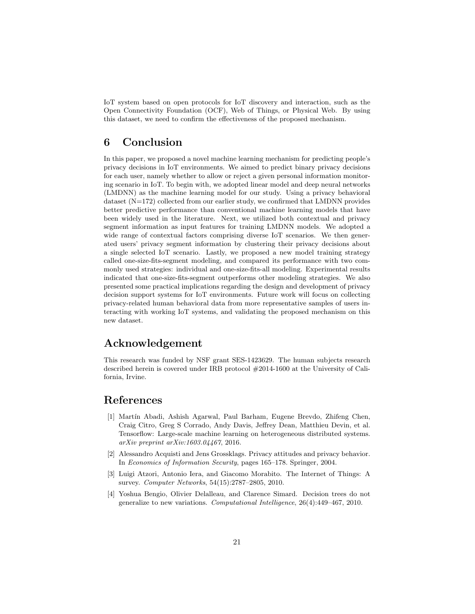IoT system based on open protocols for IoT discovery and interaction, such as the Open Connectivity Foundation (OCF), Web of Things, or Physical Web. By using this dataset, we need to confirm the effectiveness of the proposed mechanism.

# 6 Conclusion

In this paper, we proposed a novel machine learning mechanism for predicting people's privacy decisions in IoT environments. We aimed to predict binary privacy decisions for each user, namely whether to allow or reject a given personal information monitoring scenario in IoT. To begin with, we adopted linear model and deep neural networks (LMDNN) as the machine learning model for our study. Using a privacy behavioral dataset (N=172) collected from our earlier study, we confirmed that LMDNN provides better predictive performance than conventional machine learning models that have been widely used in the literature. Next, we utilized both contextual and privacy segment information as input features for training LMDNN models. We adopted a wide range of contextual factors comprising diverse IoT scenarios. We then generated users' privacy segment information by clustering their privacy decisions about a single selected IoT scenario. Lastly, we proposed a new model training strategy called one-size-fits-segment modeling, and compared its performance with two commonly used strategies: individual and one-size-fits-all modeling. Experimental results indicated that one-size-fits-segment outperforms other modeling strategies. We also presented some practical implications regarding the design and development of privacy decision support systems for IoT environments. Future work will focus on collecting privacy-related human behavioral data from more representative samples of users interacting with working IoT systems, and validating the proposed mechanism on this new dataset.

# Acknowledgement

This research was funded by NSF grant SES-1423629. The human subjects research described herein is covered under IRB protocol #2014-1600 at the University of California, Irvine.

# References

- <span id="page-21-1"></span>[1] Martín Abadi, Ashish Agarwal, Paul Barham, Eugene Brevdo, Zhifeng Chen, Craig Citro, Greg S Corrado, Andy Davis, Jeffrey Dean, Matthieu Devin, et al. Tensorflow: Large-scale machine learning on heterogeneous distributed systems. arXiv preprint arXiv:1603.04467, 2016.
- <span id="page-21-3"></span>[2] Alessandro Acquisti and Jens Grossklags. Privacy attitudes and privacy behavior. In Economics of Information Security, pages 165–178. Springer, 2004.
- <span id="page-21-0"></span>[3] Luigi Atzori, Antonio Iera, and Giacomo Morabito. The Internet of Things: A survey. Computer Networks, 54(15):2787–2805, 2010.
- <span id="page-21-2"></span>[4] Yoshua Bengio, Olivier Delalleau, and Clarence Simard. Decision trees do not generalize to new variations. Computational Intelligence, 26(4):449–467, 2010.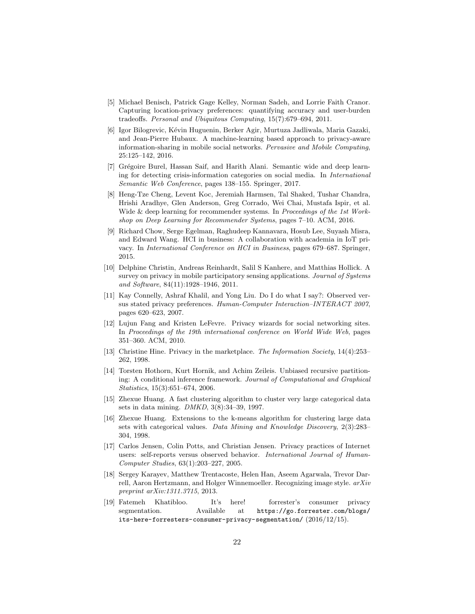- <span id="page-22-7"></span>[5] Michael Benisch, Patrick Gage Kelley, Norman Sadeh, and Lorrie Faith Cranor. Capturing location-privacy preferences: quantifying accuracy and user-burden tradeoffs. Personal and Ubiquitous Computing, 15(7):679–694, 2011.
- <span id="page-22-2"></span>[6] Igor Bilogrevic, Kévin Huguenin, Berker Agir, Murtuza Jadliwala, Maria Gazaki, and Jean-Pierre Hubaux. A machine-learning based approach to privacy-aware information-sharing in mobile social networks. Pervasive and Mobile Computing, 25:125–142, 2016.
- <span id="page-22-8"></span>[7] Grégoire Burel, Hassan Saif, and Harith Alani. Semantic wide and deep learning for detecting crisis-information categories on social media. In International Semantic Web Conference, pages 138–155. Springer, 2017.
- <span id="page-22-3"></span>[8] Heng-Tze Cheng, Levent Koc, Jeremiah Harmsen, Tal Shaked, Tushar Chandra, Hrishi Aradhye, Glen Anderson, Greg Corrado, Wei Chai, Mustafa Ispir, et al. Wide & deep learning for recommender systems. In Proceedings of the 1st Workshop on Deep Learning for Recommender Systems, pages 7–10. ACM, 2016.
- <span id="page-22-4"></span>[9] Richard Chow, Serge Egelman, Raghudeep Kannavara, Hosub Lee, Suyash Misra, and Edward Wang. HCI in business: A collaboration with academia in IoT privacy. In International Conference on HCI in Business, pages 679–687. Springer, 2015.
- <span id="page-22-0"></span>[10] Delphine Christin, Andreas Reinhardt, Salil S Kanhere, and Matthias Hollick. A survey on privacy in mobile participatory sensing applications. Journal of Systems and Software, 84(11):1928–1946, 2011.
- <span id="page-22-14"></span>[11] Kay Connelly, Ashraf Khalil, and Yong Liu. Do I do what I say?: Observed versus stated privacy preferences. Human-Computer Interaction–INTERACT 2007, pages 620–623, 2007.
- <span id="page-22-1"></span>[12] Lujun Fang and Kristen LeFevre. Privacy wizards for social networking sites. In Proceedings of the 19th international conference on World Wide Web, pages 351–360. ACM, 2010.
- <span id="page-22-6"></span>[13] Christine Hine. Privacy in the marketplace. The Information Society, 14(4):253– 262, 1998.
- <span id="page-22-9"></span>[14] Torsten Hothorn, Kurt Hornik, and Achim Zeileis. Unbiased recursive partitioning: A conditional inference framework. Journal of Computational and Graphical Statistics, 15(3):651–674, 2006.
- <span id="page-22-10"></span>[15] Zhexue Huang. A fast clustering algorithm to cluster very large categorical data sets in data mining. DMKD, 3(8):34–39, 1997.
- <span id="page-22-11"></span>[16] Zhexue Huang. Extensions to the k-means algorithm for clustering large data sets with categorical values. Data Mining and Knowledge Discovery, 2(3):283– 304, 1998.
- <span id="page-22-13"></span>[17] Carlos Jensen, Colin Potts, and Christian Jensen. Privacy practices of Internet users: self-reports versus observed behavior. International Journal of Human-Computer Studies, 63(1):203–227, 2005.
- <span id="page-22-12"></span>[18] Sergey Karayev, Matthew Trentacoste, Helen Han, Aseem Agarwala, Trevor Darrell, Aaron Hertzmann, and Holger Winnemoeller. Recognizing image style. arXiv preprint arXiv:1311.3715, 2013.
- <span id="page-22-5"></span>[19] Fatemeh Khatibloo. It's here! forrester's consumer privacy segmentation. Available at [https://go.forrester.com/blogs/](https://go.forrester.com/blogs/its-here-forresters-consumer-privacy-segmentation/) [its-here-forresters-consumer-privacy-segmentation/](https://go.forrester.com/blogs/its-here-forresters-consumer-privacy-segmentation/) (2016/12/15).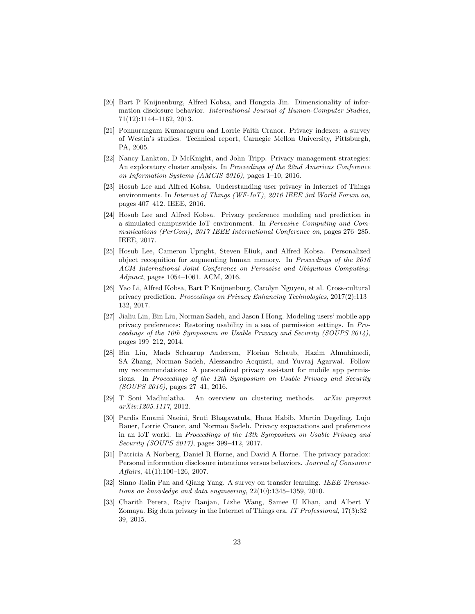- <span id="page-23-9"></span>[20] Bart P Knijnenburg, Alfred Kobsa, and Hongxia Jin. Dimensionality of information disclosure behavior. International Journal of Human-Computer Studies, 71(12):1144–1162, 2013.
- <span id="page-23-5"></span>[21] Ponnurangam Kumaraguru and Lorrie Faith Cranor. Privacy indexes: a survey of Westin's studies. Technical report, Carnegie Mellon University, Pittsburgh, PA, 2005.
- <span id="page-23-6"></span>[22] Nancy Lankton, D McKnight, and John Tripp. Privacy management strategies: An exploratory cluster analysis. In Proceedings of the 22nd Americas Conference on Information Systems (AMCIS 2016), pages 1–10, 2016.
- <span id="page-23-2"></span>[23] Hosub Lee and Alfred Kobsa. Understanding user privacy in Internet of Things environments. In Internet of Things (WF-IoT), 2016 IEEE 3rd World Forum on, pages 407–412. IEEE, 2016.
- <span id="page-23-1"></span>[24] Hosub Lee and Alfred Kobsa. Privacy preference modeling and prediction in a simulated campuswide IoT environment. In Pervasive Computing and Communications (PerCom), 2017 IEEE International Conference on, pages 276–285. IEEE, 2017.
- <span id="page-23-13"></span>[25] Hosub Lee, Cameron Upright, Steven Eliuk, and Alfred Kobsa. Personalized object recognition for augmenting human memory. In Proceedings of the 2016 ACM International Joint Conference on Pervasive and Ubiquitous Computing: Adjunct, pages 1054–1061. ACM, 2016.
- <span id="page-23-11"></span>[26] Yao Li, Alfred Kobsa, Bart P Knijnenburg, Carolyn Nguyen, et al. Cross-cultural privacy prediction. Proceedings on Privacy Enhancing Technologies, 2017(2):113– 132, 2017.
- <span id="page-23-3"></span>[27] Jialiu Lin, Bin Liu, Norman Sadeh, and Jason I Hong. Modeling users' mobile app privacy preferences: Restoring usability in a sea of permission settings. In Proceedings of the 10th Symposium on Usable Privacy and Security (SOUPS 2014), pages 199–212, 2014.
- <span id="page-23-4"></span>[28] Bin Liu, Mads Schaarup Andersen, Florian Schaub, Hazim Almuhimedi, SA Zhang, Norman Sadeh, Alessandro Acquisti, and Yuvraj Agarwal. Follow my recommendations: A personalized privacy assistant for mobile app permissions. In Proceedings of the 12th Symposium on Usable Privacy and Security (SOUPS 2016), pages 27–41, 2016.
- <span id="page-23-8"></span>[29] T Soni Madhulatha. An overview on clustering methods. arXiv preprint arXiv:1205.1117, 2012.
- <span id="page-23-10"></span>[30] Pardis Emami Naeini, Sruti Bhagavatula, Hana Habib, Martin Degeling, Lujo Bauer, Lorrie Cranor, and Norman Sadeh. Privacy expectations and preferences in an IoT world. In Proceedings of the 13th Symposium on Usable Privacy and Security (SOUPS 2017), pages 399–412, 2017.
- <span id="page-23-7"></span>[31] Patricia A Norberg, Daniel R Horne, and David A Horne. The privacy paradox: Personal information disclosure intentions versus behaviors. Journal of Consumer Affairs, 41(1):100–126, 2007.
- <span id="page-23-12"></span>[32] Sinno Jialin Pan and Qiang Yang. A survey on transfer learning. IEEE Transactions on knowledge and data engineering, 22(10):1345–1359, 2010.
- <span id="page-23-0"></span>[33] Charith Perera, Rajiv Ranjan, Lizhe Wang, Samee U Khan, and Albert Y Zomaya. Big data privacy in the Internet of Things era. IT Professional, 17(3):32-39, 2015.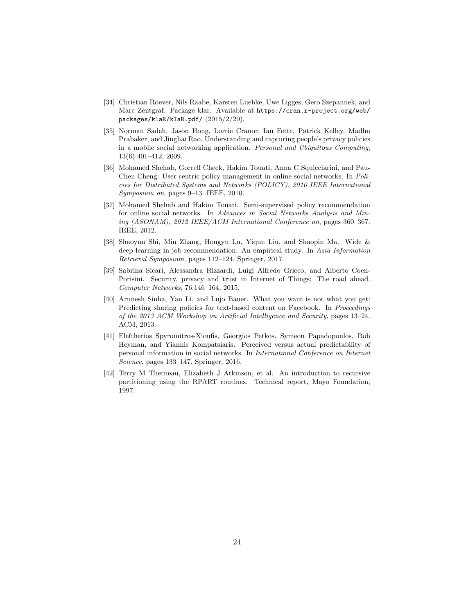- <span id="page-24-7"></span>[34] Christian Roever, Nils Raabe, Karsten Luebke, Uwe Ligges, Gero Szepannek, and Marc Zentgraf. Package klar. Available at [https://cran.r-project.org/web/](https://cran.r-project.org/web/packages/klaR/klaR.pdf/) [packages/klaR/klaR.pdf/](https://cran.r-project.org/web/packages/klaR/klaR.pdf/) (2015/2/20).
- <span id="page-24-1"></span>[35] Norman Sadeh, Jason Hong, Lorrie Cranor, Ian Fette, Patrick Kelley, Madhu Prabaker, and Jinghai Rao. Understanding and capturing people's privacy policies in a mobile social networking application. Personal and Ubiquitous Computing, 13(6):401–412, 2009.
- <span id="page-24-2"></span>[36] Mohamed Shehab, Gorrell Cheek, Hakim Touati, Anna C Squicciarini, and Pau-Chen Cheng. User centric policy management in online social networks. In Policies for Distributed Systems and Networks (POLICY), 2010 IEEE International Symposium on, pages 9–13. IEEE, 2010.
- <span id="page-24-3"></span>[37] Mohamed Shehab and Hakim Touati. Semi-supervised policy recommendation for online social networks. In Advances in Social Networks Analysis and Mining (ASONAM), 2012 IEEE/ACM International Conference on, pages 360–367. IEEE, 2012.
- <span id="page-24-5"></span>[38] Shaoyun Shi, Min Zhang, Hongyu Lu, Yiqun Liu, and Shaopin Ma. Wide & deep learning in job recommendation: An empirical study. In Asia Information Retrieval Symposium, pages 112–124. Springer, 2017.
- <span id="page-24-0"></span>[39] Sabrina Sicari, Alessandra Rizzardi, Luigi Alfredo Grieco, and Alberto Coen-Porisini. Security, privacy and trust in Internet of Things: The road ahead. Computer Networks, 76:146–164, 2015.
- <span id="page-24-4"></span>[40] Arunesh Sinha, Yan Li, and Lujo Bauer. What you want is not what you get: Predicting sharing policies for text-based content on Facebook. In Proceedings of the 2013 ACM Workshop on Artificial Intelligence and Security, pages 13–24. ACM, 2013.
- <span id="page-24-8"></span>[41] Eleftherios Spyromitros-Xioufis, Georgios Petkos, Symeon Papadopoulos, Rob Heyman, and Yiannis Kompatsiaris. Perceived versus actual predictability of personal information in social networks. In International Conference on Internet Science, pages 133–147. Springer, 2016.
- <span id="page-24-6"></span>[42] Terry M Therneau, Elizabeth J Atkinson, et al. An introduction to recursive partitioning using the RPART routines. Technical report, Mayo Foundation, 1997.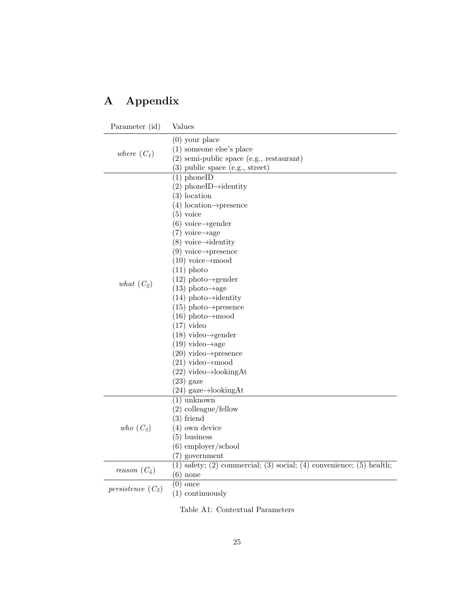# A Appendix

| Parameter (id)      | Values                                                                         |
|---------------------|--------------------------------------------------------------------------------|
|                     | $(0)$ your place                                                               |
| where $(C_1)$       | (1) someone else's place                                                       |
|                     | $(2)$ semi-public space (e.g., restaurant)                                     |
|                     | $(3)$ public space (e.g., street)                                              |
|                     | $(1)$ phoneID                                                                  |
|                     | $(2)$ phoneID $\rightarrow$ identity                                           |
|                     | $(3)$ location                                                                 |
|                     | $(4)$ location $\rightarrow$ presence                                          |
|                     | $(5)$ voice                                                                    |
|                     | $(6)$ voice $\rightarrow$ gender                                               |
|                     | $(7)$ voice $\rightarrow$ age                                                  |
|                     | $(8)$ voice $\rightarrow$ identity                                             |
|                     | $(9)$ voice $\rightarrow$ presence                                             |
| what $(C_2)$        | $(10)$ voice $\rightarrow$ mood                                                |
|                     | $(11)$ photo                                                                   |
|                     | $(12)$ photo $\rightarrow$ gender                                              |
|                     | $(13)$ photo $\rightarrow$ age                                                 |
|                     | $(14)$ photo $\rightarrow$ identity                                            |
|                     | $(15)$ photo $\rightarrow$ presence                                            |
|                     | $(16)$ photo $\rightarrow$ mood                                                |
|                     | $(17)$ video                                                                   |
|                     | $(18)$ video $\rightarrow$ gender                                              |
|                     | $(19)$ video $\rightarrow$ age                                                 |
|                     | $(20)$ video $\rightarrow$ presence                                            |
|                     | $(21)$ video $\rightarrow$ mood                                                |
|                     | $(22)$ video $\rightarrow$ lookingAt                                           |
|                     | $(23)$ gaze                                                                    |
|                     | $(24)$ gaze $\rightarrow$ lookingAt<br>(1) unknown                             |
|                     | (2) colleague/fellow                                                           |
|                     | $(3)$ friend                                                                   |
|                     | $(4)$ own device                                                               |
| who $(C_3)$         | $(5)$ business                                                                 |
|                     | $(6)$ employer/school                                                          |
|                     | (7) government                                                                 |
|                     | $(1)$ safety; $(2)$ commercial; $(3)$ social; $(4)$ convenience; $(5)$ health; |
| reason $(C_4)$      | $(6)$ none                                                                     |
|                     | $(0)$ once                                                                     |
| persistence $(C_5)$ | $(1)$ continuously                                                             |
|                     |                                                                                |

Table A1: Contextual Parameters